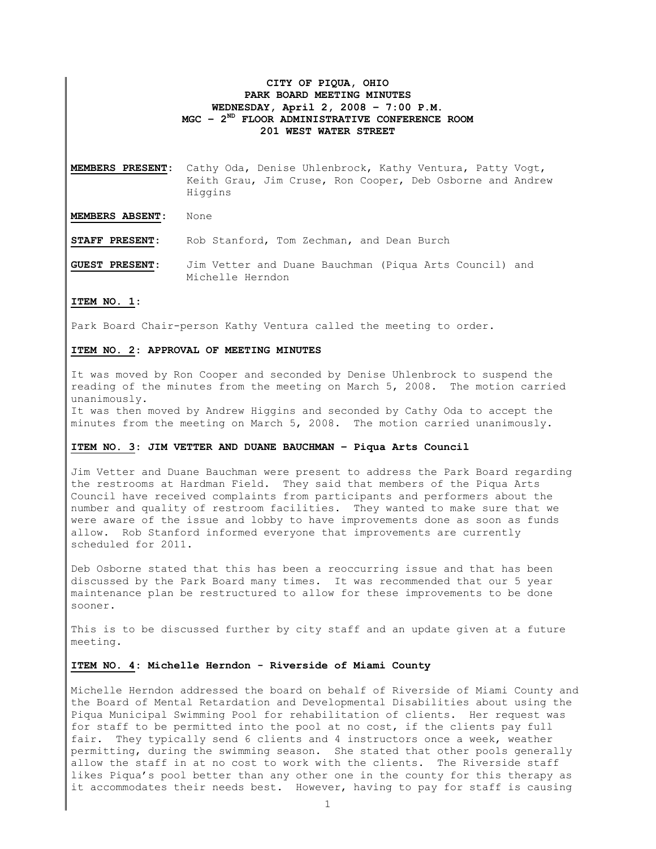# CITY OF PIQUA, OHIO PARK BOARD MEETING MINUTES WEDNESDAY, April 2, 2008 – 7:00 P.M.  $MGC - 2<sup>ND</sup>$  FLOOR ADMINISTRATIVE CONFERENCE ROOM 201 WEST WATER STREET

MEMBERS PRESENT: Cathy Oda, Denise Uhlenbrock, Kathy Ventura, Patty Vogt, Keith Grau, Jim Cruse, Ron Cooper, Deb Osborne and Andrew Higgins

MEMBERS ABSENT: None

STAFF PRESENT: Rob Stanford, Tom Zechman, and Dean Burch

GUEST PRESENT: Jim Vetter and Duane Bauchman (Piqua Arts Council) and Michelle Herndon

# ITEM NO. 1:

Park Board Chair-person Kathy Ventura called the meeting to order.

# ITEM NO. 2: APPROVAL OF MEETING MINUTES

It was moved by Ron Cooper and seconded by Denise Uhlenbrock to suspend the reading of the minutes from the meeting on March 5, 2008. The motion carried unanimously.

It was then moved by Andrew Higgins and seconded by Cathy Oda to accept the minutes from the meeting on March 5, 2008. The motion carried unanimously.

### ITEM NO. 3: JIM VETTER AND DUANE BAUCHMAN – Piqua Arts Council

Jim Vetter and Duane Bauchman were present to address the Park Board regarding the restrooms at Hardman Field. They said that members of the Piqua Arts Council have received complaints from participants and performers about the number and quality of restroom facilities. They wanted to make sure that we were aware of the issue and lobby to have improvements done as soon as funds allow. Rob Stanford informed everyone that improvements are currently scheduled for 2011.

Deb Osborne stated that this has been a reoccurring issue and that has been discussed by the Park Board many times. It was recommended that our 5 year maintenance plan be restructured to allow for these improvements to be done sooner.

This is to be discussed further by city staff and an update given at a future meeting.

### ITEM NO. 4: Michelle Herndon - Riverside of Miami County

Michelle Herndon addressed the board on behalf of Riverside of Miami County and the Board of Mental Retardation and Developmental Disabilities about using the Piqua Municipal Swimming Pool for rehabilitation of clients. Her request was for staff to be permitted into the pool at no cost, if the clients pay full fair. They typically send 6 clients and 4 instructors once a week, weather permitting, during the swimming season. She stated that other pools generally allow the staff in at no cost to work with the clients. The Riverside staff likes Piqua's pool better than any other one in the county for this therapy as it accommodates their needs best. However, having to pay for staff is causing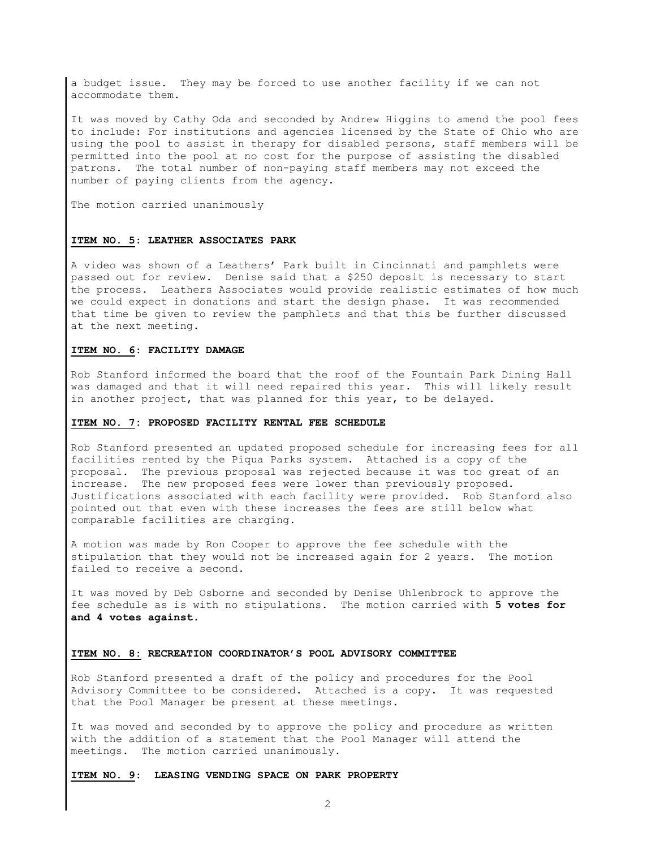a budget issue. They may be forced to use another facility if we can not accommodate them.

It was moved by Cathy Oda and seconded by Andrew Higgins to amend the pool fees to include: For institutions and agencies licensed by the State of Ohio who are using the pool to assist in therapy for disabled persons, staff members will be permitted into the pool at no cost for the purpose of assisting the disabled patrons. The total number of non-paying staff members may not exceed the number of paying clients from the agency.

The motion carried unanimously

#### ITEM NO. 5: LEATHER ASSOCIATES PARK

A video was shown of a Leathers' Park built in Cincinnati and pamphlets were passed out for review. Denise said that a \$250 deposit is necessary to start the process. Leathers Associates would provide realistic estimates of how much we could expect in donations and start the design phase. It was recommended that time be given to review the pamphlets and that this be further discussed at the next meeting.

# ITEM NO. 6: FACILITY DAMAGE

Rob Stanford informed the board that the roof of the Fountain Park Dining Hall was damaged and that it will need repaired this year. This will likely result in another project, that was planned for this year, to be delayed.

#### ITEM NO. 7: PROPOSED FACILITY RENTAL FEE SCHEDULE

Rob Stanford presented an updated proposed schedule for increasing fees for all facilities rented by the Piqua Parks system. Attached is a copy of the proposal. The previous proposal was rejected because it was too great of an increase. The new proposed fees were lower than previously proposed. Justifications associated with each facility were provided. Rob Stanford also pointed out that even with these increases the fees are still below what comparable facilities are charging.

A motion was made by Ron Cooper to approve the fee schedule with the stipulation that they would not be increased again for 2 years. The motion failed to receive a second.

It was moved by Deb Osborne and seconded by Denise Uhlenbrock to approve the fee schedule as is with no stipulations. The motion carried with 5 votes for and 4 votes against.

### ITEM NO. 8: RECREATION COORDINATOR'S POOL ADVISORY COMMITTEE

Rob Stanford presented a draft of the policy and procedures for the Pool Advisory Committee to be considered. Attached is a copy. It was requested that the Pool Manager be present at these meetings.

It was moved and seconded by to approve the policy and procedure as written with the addition of a statement that the Pool Manager will attend the meetings. The motion carried unanimously.

ITEM NO. 9: LEASING VENDING SPACE ON PARK PROPERTY